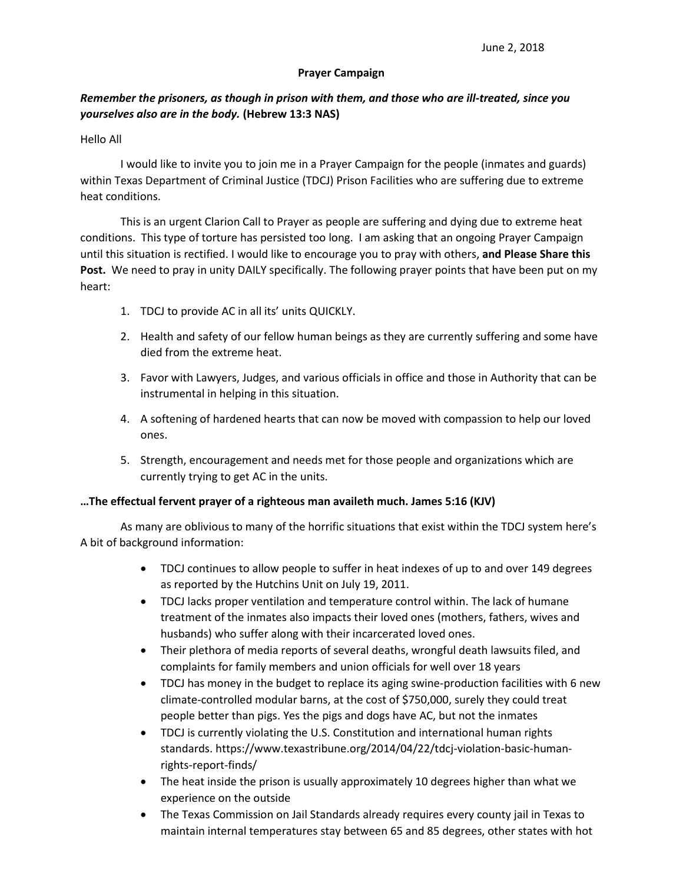## **Prayer Campaign**

## *Remember the prisoners, as though in prison with them, and those who are ill-treated, since you yourselves also are in the body.* **(Hebrew 13:3 NAS)**

## Hello All

I would like to invite you to join me in a Prayer Campaign for the people (inmates and guards) within Texas Department of Criminal Justice (TDCJ) Prison Facilities who are suffering due to extreme heat conditions.

This is an urgent Clarion Call to Prayer as people are suffering and dying due to extreme heat conditions. This type of torture has persisted too long. I am asking that an ongoing Prayer Campaign until this situation is rectified. I would like to encourage you to pray with others, **and Please Share this**  Post. We need to pray in unity DAILY specifically. The following prayer points that have been put on my heart:

- 1. TDCJ to provide AC in all its' units QUICKLY.
- 2. Health and safety of our fellow human beings as they are currently suffering and some have died from the extreme heat.
- 3. Favor with Lawyers, Judges, and various officials in office and those in Authority that can be instrumental in helping in this situation.
- 4. A softening of hardened hearts that can now be moved with compassion to help our loved ones.
- 5. Strength, encouragement and needs met for those people and organizations which are currently trying to get AC in the units.

## **…The effectual fervent prayer of a righteous man availeth much. James 5:16 (KJV)**

As many are oblivious to many of the horrific situations that exist within the TDCJ system here's A bit of background information:

- TDCJ continues to allow people to suffer in heat indexes of up to and over 149 degrees as reported by the Hutchins Unit on July 19, 2011.
- TDCJ lacks proper ventilation and temperature control within. The lack of humane treatment of the inmates also impacts their loved ones (mothers, fathers, wives and husbands) who suffer along with their incarcerated loved ones.
- Their plethora of media reports of several deaths, wrongful death lawsuits filed, and complaints for family members and union officials for well over 18 years
- TDCJ has money in the budget to replace its aging swine-production facilities with 6 new climate-controlled modular barns, at the cost of \$750,000, surely they could treat people better than pigs. Yes the pigs and dogs have AC, but not the inmates
- TDCJ is currently violating the U.S. Constitution and international human rights standards. https://www.texastribune.org/2014/04/22/tdcj-violation-basic-humanrights-report-finds/
- The heat inside the prison is usually approximately 10 degrees higher than what we experience on the outside
- The Texas Commission on Jail Standards already requires every county jail in Texas to maintain internal temperatures stay between 65 and 85 degrees, other states with hot